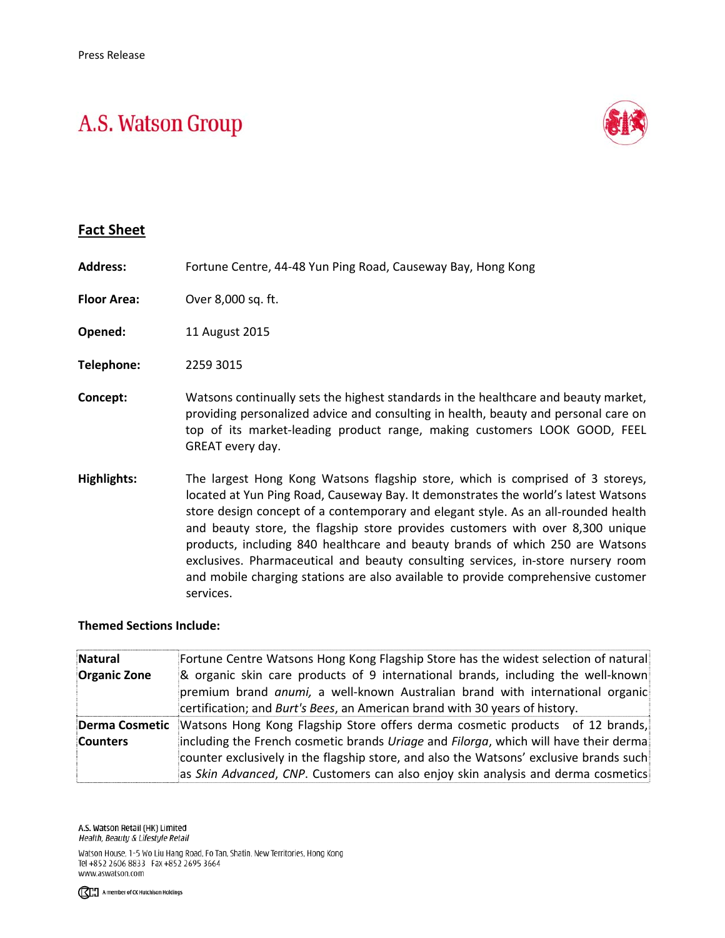## A.S. Watson Group



## **Fact Sheet**

| <b>Address:</b>    | Fortune Centre, 44-48 Yun Ping Road, Causeway Bay, Hong Kong                                                                                                                                                                                                                                                                                                                                                                                                                                                                                                                                                        |
|--------------------|---------------------------------------------------------------------------------------------------------------------------------------------------------------------------------------------------------------------------------------------------------------------------------------------------------------------------------------------------------------------------------------------------------------------------------------------------------------------------------------------------------------------------------------------------------------------------------------------------------------------|
| <b>Floor Area:</b> | Over 8,000 sq. ft.                                                                                                                                                                                                                                                                                                                                                                                                                                                                                                                                                                                                  |
| Opened:            | 11 August 2015                                                                                                                                                                                                                                                                                                                                                                                                                                                                                                                                                                                                      |
| Telephone:         | 2259 3015                                                                                                                                                                                                                                                                                                                                                                                                                                                                                                                                                                                                           |
| Concept:           | Watsons continually sets the highest standards in the healthcare and beauty market,<br>providing personalized advice and consulting in health, beauty and personal care on<br>top of its market-leading product range, making customers LOOK GOOD, FEEL<br>GREAT every day.                                                                                                                                                                                                                                                                                                                                         |
| Highlights:        | The largest Hong Kong Watsons flagship store, which is comprised of 3 storeys,<br>located at Yun Ping Road, Causeway Bay. It demonstrates the world's latest Watsons<br>store design concept of a contemporary and elegant style. As an all-rounded health<br>and beauty store, the flagship store provides customers with over 8,300 unique<br>products, including 840 healthcare and beauty brands of which 250 are Watsons<br>exclusives. Pharmaceutical and beauty consulting services, in-store nursery room<br>and mobile charging stations are also available to provide comprehensive customer<br>services. |

## **Themed Sections Include:**

| Natural             | Fortune Centre Watsons Hong Kong Flagship Store has the widest selection of natural                                                                                                                                                                                 |
|---------------------|---------------------------------------------------------------------------------------------------------------------------------------------------------------------------------------------------------------------------------------------------------------------|
| <b>Organic Zone</b> | & organic skin care products of 9 international brands, including the well-known<br>premium brand anumi, a well-known Australian brand with international organic<br>certification; and Burt's Bees, an American brand with 30 years of history.                    |
| Derma Cosmetic      | Watsons Hong Kong Flagship Store offers derma cosmetic products of 12 brands,                                                                                                                                                                                       |
| Counters            | including the French cosmetic brands Uriage and Filorga, which will have their derma<br>counter exclusively in the flagship store, and also the Watsons' exclusive brands such<br>as Skin Advanced, CNP. Customers can also enjoy skin analysis and derma cosmetics |

A.S. Watson Retail (HK) Limited Health, Beauty & Lifestyle Retail

Watson House, 1-5 Wo Liu Hang Road, Fo Tan, Shatin, New Territories, Hong Kong Tel +852 2606 8833 Fax +852 2695 3664 www.aswatson.com